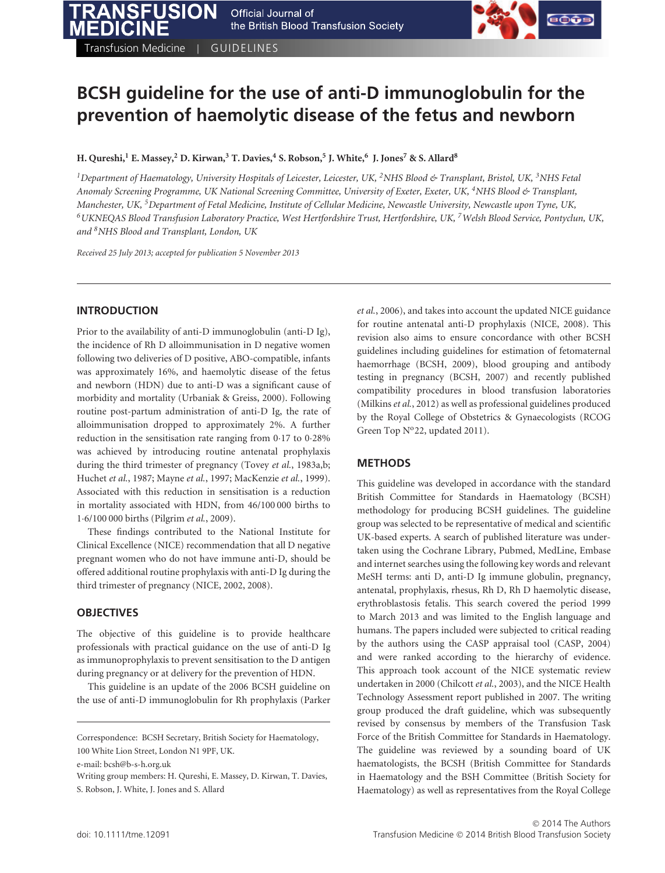Transfusion Medicine | GUIDELINES

**TRANSFUSION** 

**MEDICINE** 



# **BCSH guideline for the use of anti-D immunoglobulin for the prevention of haemolytic disease of the fetus and newborn**

**H. Qureshi,1 E. Massey,<sup>2</sup> D. Kirwan,3 T. Davies,4 S. Robson,5 J. White,6 J. Jones<sup>7</sup> & S. Allard8**

*1Department of Haematology, University Hospitals of Leicester, Leicester, UK, 2NHS Blood & Transplant, Bristol, UK, 3NHS Fetal Anomaly Screening Programme, UK National Screening Committee, University of Exeter, Exeter, UK, 4NHS Blood & Transplant, Manchester, UK, 5Department of Fetal Medicine, Institute of Cellular Medicine, Newcastle University, Newcastle upon Tyne, UK, 6UKNEQAS Blood Transfusion Laboratory Practice, West Hertfordshire Trust, Hertfordshire, UK, 7Welsh Blood Service, Pontyclun, UK, and 8NHS Blood and Transplant, London, UK*

*Received 25 July 2013; accepted for publication 5 November 2013*

### **INTRODUCTION**

Prior to the availability of anti-D immunoglobulin (anti-D Ig), the incidence of Rh D alloimmunisation in D negative women following two deliveries of D positive, ABO-compatible, infants was approximately 16%, and haemolytic disease of the fetus and newborn (HDN) due to anti-D was a significant cause of morbidity and mortality (Urbaniak & Greiss, 2000). Following routine post-partum administration of anti-D Ig, the rate of alloimmunisation dropped to approximately 2%. A further reduction in the sensitisation rate ranging from 0·17 to 0·28% was achieved by introducing routine antenatal prophylaxis during the third trimester of pregnancy (Tovey *et al.*, 1983a,b; Huchet *et al.*, 1987; Mayne *et al.*, 1997; MacKenzie *et al.*, 1999). Associated with this reduction in sensitisation is a reduction in mortality associated with HDN, from 46/100 000 births to 1·6/100 000 births (Pilgrim *et al.*, 2009).

These findings contributed to the National Institute for Clinical Excellence (NICE) recommendation that all D negative pregnant women who do not have immune anti-D, should be offered additional routine prophylaxis with anti-D Ig during the third trimester of pregnancy (NICE, 2002, 2008).

### **OBJECTIVES**

The objective of this guideline is to provide healthcare professionals with practical guidance on the use of anti-D Ig as immunoprophylaxis to prevent sensitisation to the D antigen during pregnancy or at delivery for the prevention of HDN.

This guideline is an update of the 2006 BCSH guideline on the use of anti-D immunoglobulin for Rh prophylaxis (Parker

100 White Lion Street, London N1 9PF, UK.

e-mail: bcsh@b-s-h.org.uk

*et al.*, 2006), and takes into account the updated NICE guidance for routine antenatal anti-D prophylaxis (NICE, 2008). This revision also aims to ensure concordance with other BCSH guidelines including guidelines for estimation of fetomaternal haemorrhage (BCSH, 2009), blood grouping and antibody testing in pregnancy (BCSH, 2007) and recently published compatibility procedures in blood transfusion laboratories (Milkins *et al.*, 2012) as well as professional guidelines produced by the Royal College of Obstetrics & Gynaecologists (RCOG Green Top N°22, updated 2011).

### **METHODS**

This guideline was developed in accordance with the standard British Committee for Standards in Haematology (BCSH) methodology for producing BCSH guidelines. The guideline group was selected to be representative of medical and scientific UK-based experts. A search of published literature was undertaken using the Cochrane Library, Pubmed, MedLine, Embase and internet searches using the following key words and relevant MeSH terms: anti D, anti-D Ig immune globulin, pregnancy, antenatal, prophylaxis, rhesus, Rh D, Rh D haemolytic disease, erythroblastosis fetalis. This search covered the period 1999 to March 2013 and was limited to the English language and humans. The papers included were subjected to critical reading by the authors using the CASP appraisal tool (CASP, 2004) and were ranked according to the hierarchy of evidence. This approach took account of the NICE systematic review undertaken in 2000 (Chilcott *et al.*, 2003), and the NICE Health Technology Assessment report published in 2007. The writing group produced the draft guideline, which was subsequently revised by consensus by members of the Transfusion Task Force of the British Committee for Standards in Haematology. The guideline was reviewed by a sounding board of UK haematologists, the BCSH (British Committee for Standards in Haematology and the BSH Committee (British Society for Haematology) as well as representatives from the Royal College

Correspondence: BCSH Secretary, British Society for Haematology,

Writing group members: H. Qureshi, E. Massey, D. Kirwan, T. Davies, S. Robson, J. White, J. Jones and S. Allard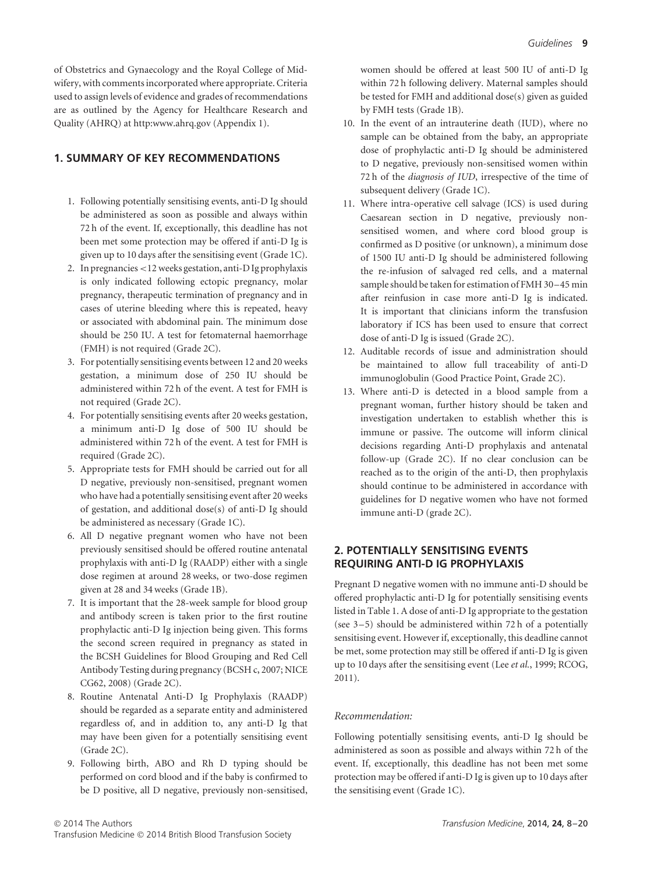of Obstetrics and Gynaecology and the Royal College of Midwifery, with comments incorporated where appropriate. Criteria used to assign levels of evidence and grades of recommendations are as outlined by the Agency for Healthcare Research and Quality (AHRQ) at http:www.ahrq.gov (Appendix 1).

# **1. SUMMARY OF KEY RECOMMENDATIONS**

- 1. Following potentially sensitising events, anti-D Ig should be administered as soon as possible and always within 72 h of the event. If, exceptionally, this deadline has not been met some protection may be offered if anti-D Ig is given up to 10 days after the sensitising event (Grade 1C).
- 2. In pregnancies*<*12 weeks gestation, anti-D Ig prophylaxis is only indicated following ectopic pregnancy, molar pregnancy, therapeutic termination of pregnancy and in cases of uterine bleeding where this is repeated, heavy or associated with abdominal pain. The minimum dose should be 250 IU. A test for fetomaternal haemorrhage (FMH) is not required (Grade 2C).
- 3. For potentially sensitising events between 12 and 20 weeks gestation, a minimum dose of 250 IU should be administered within 72 h of the event. A test for FMH is not required (Grade 2C).
- 4. For potentially sensitising events after 20 weeks gestation, a minimum anti-D Ig dose of 500 IU should be administered within 72 h of the event. A test for FMH is required (Grade 2C).
- 5. Appropriate tests for FMH should be carried out for all D negative, previously non-sensitised, pregnant women who have had a potentially sensitising event after 20 weeks of gestation, and additional dose(s) of anti-D Ig should be administered as necessary (Grade 1C).
- 6. All D negative pregnant women who have not been previously sensitised should be offered routine antenatal prophylaxis with anti-D Ig (RAADP) either with a single dose regimen at around 28 weeks, or two-dose regimen given at 28 and 34 weeks (Grade 1B).
- 7. It is important that the 28-week sample for blood group and antibody screen is taken prior to the first routine prophylactic anti-D Ig injection being given. This forms the second screen required in pregnancy as stated in the BCSH Guidelines for Blood Grouping and Red Cell Antibody Testing during pregnancy (BCSH c, 2007; NICE CG62, 2008) (Grade 2C).
- 8. Routine Antenatal Anti-D Ig Prophylaxis (RAADP) should be regarded as a separate entity and administered regardless of, and in addition to, any anti-D Ig that may have been given for a potentially sensitising event (Grade 2C).
- 9. Following birth, ABO and Rh D typing should be performed on cord blood and if the baby is confirmed to be D positive, all D negative, previously non-sensitised,

women should be offered at least 500 IU of anti-D Ig within 72 h following delivery. Maternal samples should be tested for FMH and additional dose(s) given as guided by FMH tests (Grade 1B).

- 10. In the event of an intrauterine death (IUD), where no sample can be obtained from the baby, an appropriate dose of prophylactic anti-D Ig should be administered to D negative, previously non-sensitised women within 72 h of the *diagnosis of IUD*, irrespective of the time of subsequent delivery (Grade 1C).
- 11. Where intra-operative cell salvage (ICS) is used during Caesarean section in D negative, previously nonsensitised women, and where cord blood group is confirmed as D positive (or unknown), a minimum dose of 1500 IU anti-D Ig should be administered following the re-infusion of salvaged red cells, and a maternal sample should be taken for estimation of FMH 30–45 min after reinfusion in case more anti-D Ig is indicated. It is important that clinicians inform the transfusion laboratory if ICS has been used to ensure that correct dose of anti-D Ig is issued (Grade 2C).
- 12. Auditable records of issue and administration should be maintained to allow full traceability of anti-D immunoglobulin (Good Practice Point, Grade 2C).
- 13. Where anti-D is detected in a blood sample from a pregnant woman, further history should be taken and investigation undertaken to establish whether this is immune or passive. The outcome will inform clinical decisions regarding Anti-D prophylaxis and antenatal follow-up (Grade 2C). If no clear conclusion can be reached as to the origin of the anti-D, then prophylaxis should continue to be administered in accordance with guidelines for D negative women who have not formed immune anti-D (grade 2C).

# **2. POTENTIALLY SENSITISING EVENTS REQUIRING ANTI-D IG PROPHYLAXIS**

Pregnant D negative women with no immune anti-D should be offered prophylactic anti-D Ig for potentially sensitising events listed in Table 1. A dose of anti-D Ig appropriate to the gestation (see 3–5) should be administered within 72 h of a potentially sensitising event. However if, exceptionally, this deadline cannot be met, some protection may still be offered if anti-D Ig is given up to 10 days after the sensitising event (Lee *et al.*, 1999; RCOG, 2011).

# *Recommendation:*

Following potentially sensitising events, anti-D Ig should be administered as soon as possible and always within 72 h of the event. If, exceptionally, this deadline has not been met some protection may be offered if anti-D Ig is given up to 10 days after the sensitising event (Grade 1C).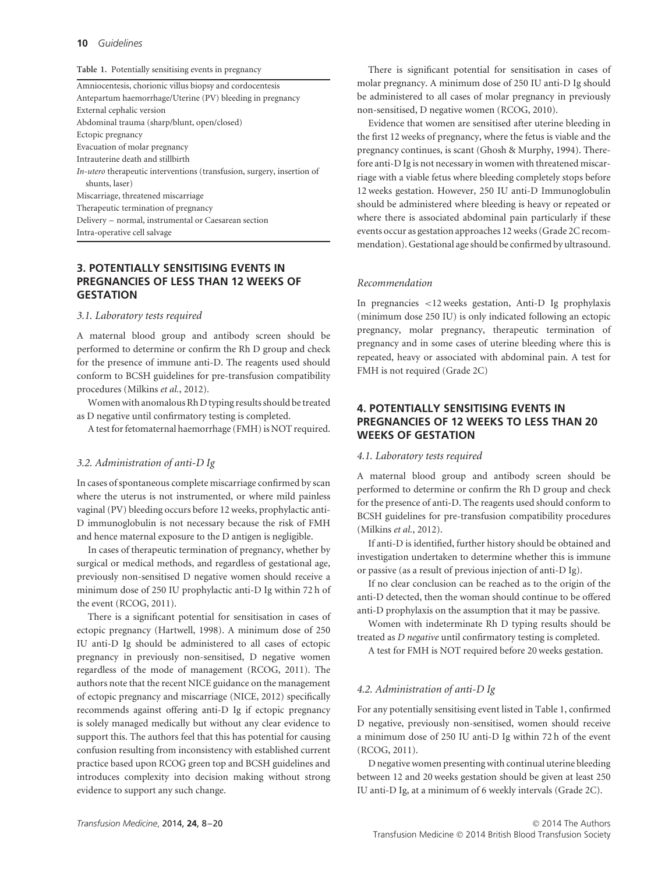**Table 1.** Potentially sensitising events in pregnancy

| Amniocentesis, chorionic villus biopsy and cordocentesis               |
|------------------------------------------------------------------------|
| Antepartum haemorrhage/Uterine (PV) bleeding in pregnancy              |
| External cephalic version                                              |
| Abdominal trauma (sharp/blunt, open/closed)                            |
| Ectopic pregnancy                                                      |
| Evacuation of molar pregnancy                                          |
| Intrauterine death and stillbirth                                      |
| In-utero therapeutic interventions (transfusion, surgery, insertion of |
| shunts, laser)                                                         |
| Miscarriage, threatened miscarriage                                    |
| Therapeutic termination of pregnancy                                   |
| Delivery – normal, instrumental or Caesarean section                   |
| Intra-operative cell salvage                                           |
|                                                                        |

# **3. POTENTIALLY SENSITISING EVENTS IN PREGNANCIES OF LESS THAN 12 WEEKS OF GESTATION**

#### *3.1. Laboratory tests required*

A maternal blood group and antibody screen should be performed to determine or confirm the Rh D group and check for the presence of immune anti-D. The reagents used should conform to BCSH guidelines for pre-transfusion compatibility procedures (Milkins *et al.*, 2012).

Women with anomalous Rh D typing results should be treated as D negative until confirmatory testing is completed.

A test for fetomaternal haemorrhage (FMH) is NOT required.

### *3.2. Administration of anti-D Ig*

In cases of spontaneous complete miscarriage confirmed by scan where the uterus is not instrumented, or where mild painless vaginal (PV) bleeding occurs before 12 weeks, prophylactic anti-D immunoglobulin is not necessary because the risk of FMH and hence maternal exposure to the D antigen is negligible.

In cases of therapeutic termination of pregnancy, whether by surgical or medical methods, and regardless of gestational age, previously non-sensitised D negative women should receive a minimum dose of 250 IU prophylactic anti-D Ig within 72 h of the event (RCOG, 2011).

There is a significant potential for sensitisation in cases of ectopic pregnancy (Hartwell, 1998). A minimum dose of 250 IU anti-D Ig should be administered to all cases of ectopic pregnancy in previously non-sensitised, D negative women regardless of the mode of management (RCOG, 2011). The authors note that the recent NICE guidance on the management of ectopic pregnancy and miscarriage (NICE, 2012) specifically recommends against offering anti-D Ig if ectopic pregnancy is solely managed medically but without any clear evidence to support this. The authors feel that this has potential for causing confusion resulting from inconsistency with established current practice based upon RCOG green top and BCSH guidelines and introduces complexity into decision making without strong evidence to support any such change.

There is significant potential for sensitisation in cases of molar pregnancy. A minimum dose of 250 IU anti-D Ig should be administered to all cases of molar pregnancy in previously non-sensitised, D negative women (RCOG, 2010).

Evidence that women are sensitised after uterine bleeding in the first 12 weeks of pregnancy, where the fetus is viable and the pregnancy continues, is scant (Ghosh & Murphy, 1994). Therefore anti-D Ig is not necessary in women with threatened miscarriage with a viable fetus where bleeding completely stops before 12 weeks gestation. However, 250 IU anti-D Immunoglobulin should be administered where bleeding is heavy or repeated or where there is associated abdominal pain particularly if these events occur as gestation approaches 12 weeks (Grade 2C recommendation). Gestational age should be confirmed by ultrasound.

### *Recommendation*

In pregnancies *<*12 weeks gestation, Anti-D Ig prophylaxis (minimum dose 250 IU) is only indicated following an ectopic pregnancy, molar pregnancy, therapeutic termination of pregnancy and in some cases of uterine bleeding where this is repeated, heavy or associated with abdominal pain. A test for FMH is not required (Grade 2C)

# **4. POTENTIALLY SENSITISING EVENTS IN PREGNANCIES OF 12 WEEKS TO LESS THAN 20 WEEKS OF GESTATION**

### *4.1. Laboratory tests required*

A maternal blood group and antibody screen should be performed to determine or confirm the Rh D group and check for the presence of anti-D. The reagents used should conform to BCSH guidelines for pre-transfusion compatibility procedures (Milkins *et al.*, 2012).

If anti-D is identified, further history should be obtained and investigation undertaken to determine whether this is immune or passive (as a result of previous injection of anti-D Ig).

If no clear conclusion can be reached as to the origin of the anti-D detected, then the woman should continue to be offered anti-D prophylaxis on the assumption that it may be passive.

Women with indeterminate Rh D typing results should be treated as *D negative* until confirmatory testing is completed.

A test for FMH is NOT required before 20 weeks gestation.

# *4.2. Administration of anti-D Ig*

For any potentially sensitising event listed in Table 1, confirmed D negative, previously non-sensitised, women should receive a minimum dose of 250 IU anti-D Ig within 72 h of the event (RCOG, 2011).

D negative women presenting with continual uterine bleeding between 12 and 20 weeks gestation should be given at least 250 IU anti-D Ig, at a minimum of 6 weekly intervals (Grade 2C).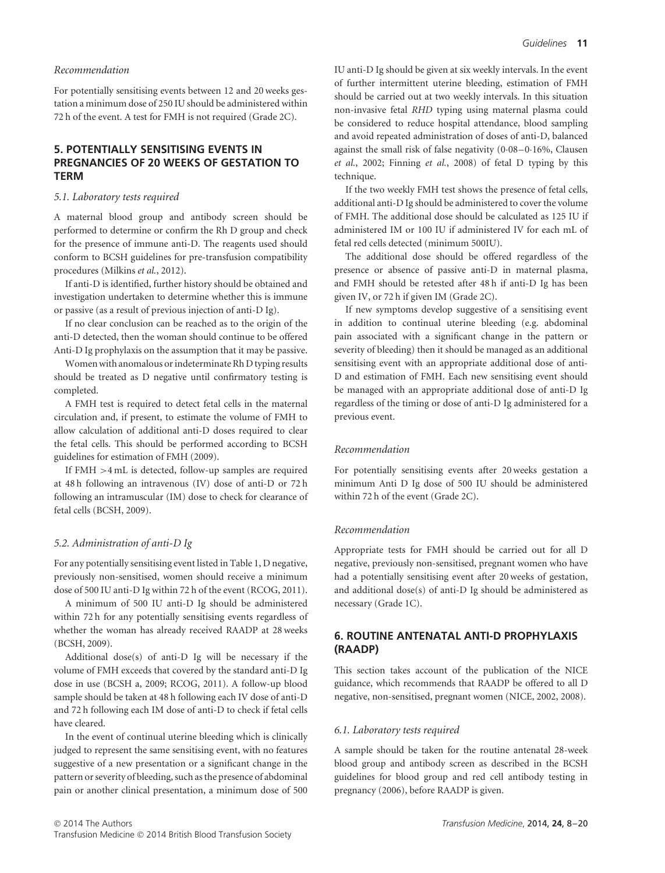### *Recommendation*

For potentially sensitising events between 12 and 20 weeks gestation a minimum dose of 250 IU should be administered within 72 h of the event. A test for FMH is not required (Grade 2C).

# **5. POTENTIALLY SENSITISING EVENTS IN PREGNANCIES OF 20 WEEKS OF GESTATION TO TERM**

#### *5.1. Laboratory tests required*

A maternal blood group and antibody screen should be performed to determine or confirm the Rh D group and check for the presence of immune anti-D. The reagents used should conform to BCSH guidelines for pre-transfusion compatibility procedures (Milkins *et al.*, 2012).

If anti-D is identified, further history should be obtained and investigation undertaken to determine whether this is immune or passive (as a result of previous injection of anti-D Ig).

If no clear conclusion can be reached as to the origin of the anti-D detected, then the woman should continue to be offered Anti-D Ig prophylaxis on the assumption that it may be passive.

Women with anomalous or indeterminate Rh D typing results should be treated as D negative until confirmatory testing is completed.

A FMH test is required to detect fetal cells in the maternal circulation and, if present, to estimate the volume of FMH to allow calculation of additional anti-D doses required to clear the fetal cells. This should be performed according to BCSH guidelines for estimation of FMH (2009).

If FMH *>*4 mL is detected, follow-up samples are required at 48 h following an intravenous (IV) dose of anti-D or 72 h following an intramuscular (IM) dose to check for clearance of fetal cells (BCSH, 2009).

### *5.2. Administration of anti-D Ig*

For any potentially sensitising event listed in Table 1, D negative, previously non-sensitised, women should receive a minimum dose of 500 IU anti-D Ig within 72 h of the event (RCOG, 2011).

A minimum of 500 IU anti-D Ig should be administered within 72 h for any potentially sensitising events regardless of whether the woman has already received RAADP at 28 weeks (BCSH, 2009).

Additional dose(s) of anti-D Ig will be necessary if the volume of FMH exceeds that covered by the standard anti-D Ig dose in use (BCSH a, 2009; RCOG, 2011). A follow-up blood sample should be taken at 48 h following each IV dose of anti-D and 72 h following each IM dose of anti-D to check if fetal cells have cleared.

In the event of continual uterine bleeding which is clinically judged to represent the same sensitising event, with no features suggestive of a new presentation or a significant change in the pattern or severity of bleeding, such as the presence of abdominal pain or another clinical presentation, a minimum dose of 500 IU anti-D Ig should be given at six weekly intervals. In the event of further intermittent uterine bleeding, estimation of FMH should be carried out at two weekly intervals. In this situation non-invasive fetal *RHD* typing using maternal plasma could be considered to reduce hospital attendance, blood sampling and avoid repeated administration of doses of anti-D, balanced against the small risk of false negativity (0·08–0·16%, Clausen *et al.*, 2002; Finning *et al.*, 2008) of fetal D typing by this technique.

If the two weekly FMH test shows the presence of fetal cells, additional anti-D Ig should be administered to cover the volume of FMH. The additional dose should be calculated as 125 IU if administered IM or 100 IU if administered IV for each mL of fetal red cells detected (minimum 500IU).

The additional dose should be offered regardless of the presence or absence of passive anti-D in maternal plasma, and FMH should be retested after 48 h if anti-D Ig has been given IV, or 72 h if given IM (Grade 2C).

If new symptoms develop suggestive of a sensitising event in addition to continual uterine bleeding (e.g. abdominal pain associated with a significant change in the pattern or severity of bleeding) then it should be managed as an additional sensitising event with an appropriate additional dose of anti-D and estimation of FMH. Each new sensitising event should be managed with an appropriate additional dose of anti-D Ig regardless of the timing or dose of anti-D Ig administered for a previous event.

#### *Recommendation*

For potentially sensitising events after 20 weeks gestation a minimum Anti D Ig dose of 500 IU should be administered within 72 h of the event (Grade 2C).

### *Recommendation*

Appropriate tests for FMH should be carried out for all D negative, previously non-sensitised, pregnant women who have had a potentially sensitising event after 20 weeks of gestation, and additional dose(s) of anti-D Ig should be administered as necessary (Grade 1C).

# **6. ROUTINE ANTENATAL ANTI-D PROPHYLAXIS (RAADP)**

This section takes account of the publication of the NICE guidance, which recommends that RAADP be offered to all D negative, non-sensitised, pregnant women (NICE, 2002, 2008).

#### *6.1. Laboratory tests required*

A sample should be taken for the routine antenatal 28-week blood group and antibody screen as described in the BCSH guidelines for blood group and red cell antibody testing in pregnancy (2006), before RAADP is given.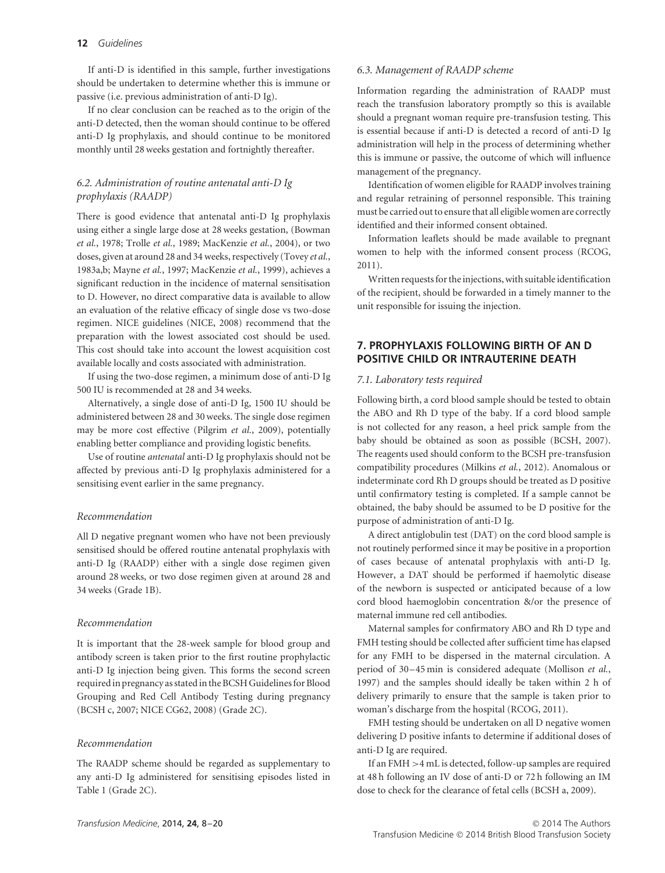If anti-D is identified in this sample, further investigations should be undertaken to determine whether this is immune or passive (i.e. previous administration of anti-D Ig).

If no clear conclusion can be reached as to the origin of the anti-D detected, then the woman should continue to be offered anti-D Ig prophylaxis, and should continue to be monitored monthly until 28 weeks gestation and fortnightly thereafter.

# *6.2. Administration of routine antenatal anti-D Ig prophylaxis (RAADP)*

There is good evidence that antenatal anti-D Ig prophylaxis using either a single large dose at 28 weeks gestation, (Bowman *et al.*, 1978; Trolle *et al.*, 1989; MacKenzie *et al.*, 2004), or two doses, given at around 28 and 34 weeks, respectively (Tovey *et al.*, 1983a,b; Mayne *et al.*, 1997; MacKenzie *et al.*, 1999), achieves a significant reduction in the incidence of maternal sensitisation to D. However, no direct comparative data is available to allow an evaluation of the relative efficacy of single dose vs two-dose regimen. NICE guidelines (NICE, 2008) recommend that the preparation with the lowest associated cost should be used. This cost should take into account the lowest acquisition cost available locally and costs associated with administration.

If using the two-dose regimen, a minimum dose of anti-D Ig 500 IU is recommended at 28 and 34 weeks.

Alternatively, a single dose of anti-D Ig, 1500 IU should be administered between 28 and 30 weeks. The single dose regimen may be more cost effective (Pilgrim *et al.*, 2009), potentially enabling better compliance and providing logistic benefits.

Use of routine *antenatal* anti-D Ig prophylaxis should not be affected by previous anti-D Ig prophylaxis administered for a sensitising event earlier in the same pregnancy.

# *Recommendation*

All D negative pregnant women who have not been previously sensitised should be offered routine antenatal prophylaxis with anti-D Ig (RAADP) either with a single dose regimen given around 28 weeks, or two dose regimen given at around 28 and 34 weeks (Grade 1B).

### *Recommendation*

It is important that the 28-week sample for blood group and antibody screen is taken prior to the first routine prophylactic anti-D Ig injection being given. This forms the second screen required in pregnancy as stated in the BCSH Guidelinesfor Blood Grouping and Red Cell Antibody Testing during pregnancy (BCSH c, 2007; NICE CG62, 2008) (Grade 2C).

### *Recommendation*

The RAADP scheme should be regarded as supplementary to any anti-D Ig administered for sensitising episodes listed in Table 1 (Grade 2C).

### *6.3. Management of RAADP scheme*

Information regarding the administration of RAADP must reach the transfusion laboratory promptly so this is available should a pregnant woman require pre-transfusion testing. This is essential because if anti-D is detected a record of anti-D Ig administration will help in the process of determining whether this is immune or passive, the outcome of which will influence management of the pregnancy.

Identification of women eligible for RAADP involves training and regular retraining of personnel responsible. This training must be carried out to ensure that all eligible women are correctly identified and their informed consent obtained.

Information leaflets should be made available to pregnant women to help with the informed consent process (RCOG, 2011).

Written requests for the injections, with suitable identification of the recipient, should be forwarded in a timely manner to the unit responsible for issuing the injection.

# **7. PROPHYLAXIS FOLLOWING BIRTH OF AN D POSITIVE CHILD OR INTRAUTERINE DEATH**

### *7.1. Laboratory tests required*

Following birth, a cord blood sample should be tested to obtain the ABO and Rh D type of the baby. If a cord blood sample is not collected for any reason, a heel prick sample from the baby should be obtained as soon as possible (BCSH, 2007). The reagents used should conform to the BCSH pre-transfusion compatibility procedures (Milkins *et al.*, 2012). Anomalous or indeterminate cord Rh D groups should be treated as D positive until confirmatory testing is completed. If a sample cannot be obtained, the baby should be assumed to be D positive for the purpose of administration of anti-D Ig.

A direct antiglobulin test (DAT) on the cord blood sample is not routinely performed since it may be positive in a proportion of cases because of antenatal prophylaxis with anti-D Ig. However, a DAT should be performed if haemolytic disease of the newborn is suspected or anticipated because of a low cord blood haemoglobin concentration &/or the presence of maternal immune red cell antibodies.

Maternal samples for confirmatory ABO and Rh D type and FMH testing should be collected after sufficient time has elapsed for any FMH to be dispersed in the maternal circulation. A period of 30–45 min is considered adequate (Mollison *et al.*, 1997) and the samples should ideally be taken within 2 h of delivery primarily to ensure that the sample is taken prior to woman's discharge from the hospital (RCOG, 2011).

FMH testing should be undertaken on all D negative women delivering D positive infants to determine if additional doses of anti-D Ig are required.

If an FMH *>*4 mL is detected, follow-up samples are required at 48 h following an IV dose of anti-D or 72 h following an IM dose to check for the clearance of fetal cells (BCSH a, 2009).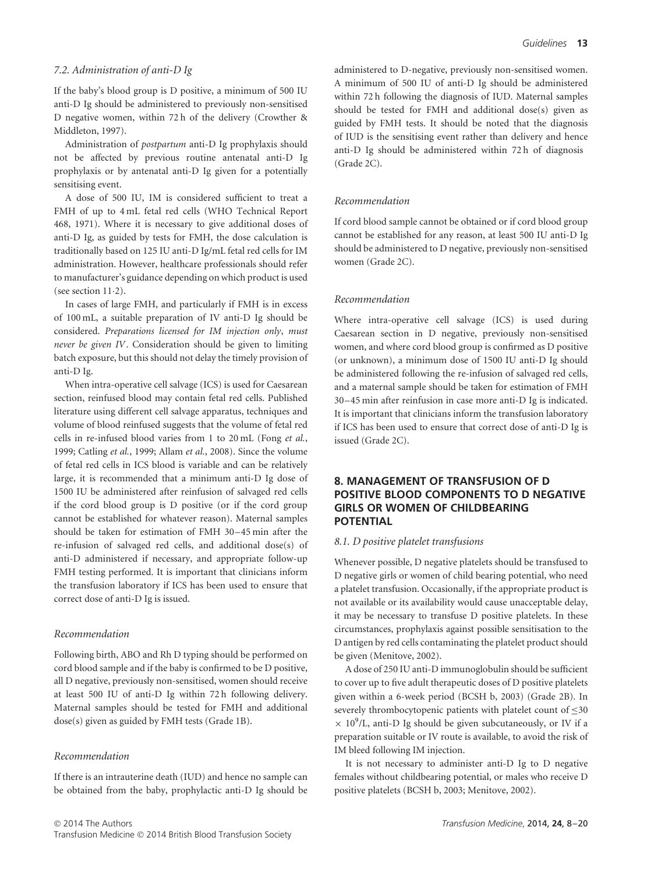#### *7.2. Administration of anti-D Ig*

If the baby's blood group is D positive, a minimum of 500 IU anti-D Ig should be administered to previously non-sensitised D negative women, within 72 h of the delivery (Crowther & Middleton, 1997).

Administration of *postpartum* anti-D Ig prophylaxis should not be affected by previous routine antenatal anti-D Ig prophylaxis or by antenatal anti-D Ig given for a potentially sensitising event.

A dose of 500 IU, IM is considered sufficient to treat a FMH of up to 4 mL fetal red cells (WHO Technical Report 468, 1971). Where it is necessary to give additional doses of anti-D Ig, as guided by tests for FMH, the dose calculation is traditionally based on 125 IU anti-D Ig/mL fetal red cells for IM administration. However, healthcare professionals should refer to manufacturer's guidance depending on which product is used (see section 11·2).

In cases of large FMH, and particularly if FMH is in excess of 100 mL, a suitable preparation of IV anti-D Ig should be considered. *Preparations licensed for IM injection only*, *must never be given IV*. Consideration should be given to limiting batch exposure, but this should not delay the timely provision of anti-D Ig.

When intra-operative cell salvage (ICS) is used for Caesarean section, reinfused blood may contain fetal red cells. Published literature using different cell salvage apparatus, techniques and volume of blood reinfused suggests that the volume of fetal red cells in re-infused blood varies from 1 to 20 mL (Fong *et al.*, 1999; Catling *et al.*, 1999; Allam *et al.*, 2008). Since the volume of fetal red cells in ICS blood is variable and can be relatively large, it is recommended that a minimum anti-D Ig dose of 1500 IU be administered after reinfusion of salvaged red cells if the cord blood group is D positive (or if the cord group cannot be established for whatever reason). Maternal samples should be taken for estimation of FMH 30–45 min after the re-infusion of salvaged red cells, and additional dose(s) of anti-D administered if necessary, and appropriate follow-up FMH testing performed. It is important that clinicians inform the transfusion laboratory if ICS has been used to ensure that correct dose of anti-D Ig is issued.

### *Recommendation*

Following birth, ABO and Rh D typing should be performed on cord blood sample and if the baby is confirmed to be D positive, all D negative, previously non-sensitised, women should receive at least 500 IU of anti-D Ig within 72 h following delivery. Maternal samples should be tested for FMH and additional dose(s) given as guided by FMH tests (Grade 1B).

### *Recommendation*

If there is an intrauterine death (IUD) and hence no sample can be obtained from the baby, prophylactic anti-D Ig should be administered to D-negative, previously non-sensitised women. A minimum of 500 IU of anti-D Ig should be administered within 72 h following the diagnosis of IUD. Maternal samples should be tested for FMH and additional dose(s) given as guided by FMH tests. It should be noted that the diagnosis of IUD is the sensitising event rather than delivery and hence anti-D Ig should be administered within 72 h of diagnosis (Grade 2C).

#### *Recommendation*

If cord blood sample cannot be obtained or if cord blood group cannot be established for any reason, at least 500 IU anti-D Ig should be administered to D negative, previously non-sensitised women (Grade 2C).

#### *Recommendation*

Where intra-operative cell salvage (ICS) is used during Caesarean section in D negative, previously non-sensitised women, and where cord blood group is confirmed as D positive (or unknown), a minimum dose of 1500 IU anti-D Ig should be administered following the re-infusion of salvaged red cells, and a maternal sample should be taken for estimation of FMH 30–45 min after reinfusion in case more anti-D Ig is indicated. It is important that clinicians inform the transfusion laboratory if ICS has been used to ensure that correct dose of anti-D Ig is issued (Grade 2C).

# **8. MANAGEMENT OF TRANSFUSION OF D POSITIVE BLOOD COMPONENTS TO D NEGATIVE GIRLS OR WOMEN OF CHILDBEARING POTENTIAL**

#### *8.1. D positive platelet transfusions*

Whenever possible, D negative platelets should be transfused to D negative girls or women of child bearing potential, who need a platelet transfusion. Occasionally, if the appropriate product is not available or its availability would cause unacceptable delay, it may be necessary to transfuse D positive platelets. In these circumstances, prophylaxis against possible sensitisation to the D antigen by red cells contaminating the platelet product should be given (Menitove, 2002).

A dose of 250 IU anti-D immunoglobulin should be sufficient to cover up to five adult therapeutic doses of D positive platelets given within a 6-week period (BCSH b, 2003) (Grade 2B). In severely thrombocytopenic patients with platelet count of ≤30  $\times$  10<sup>9</sup>/L, anti-D Ig should be given subcutaneously, or IV if a preparation suitable or IV route is available, to avoid the risk of IM bleed following IM injection.

It is not necessary to administer anti-D Ig to D negative females without childbearing potential, or males who receive D positive platelets (BCSH b, 2003; Menitove, 2002).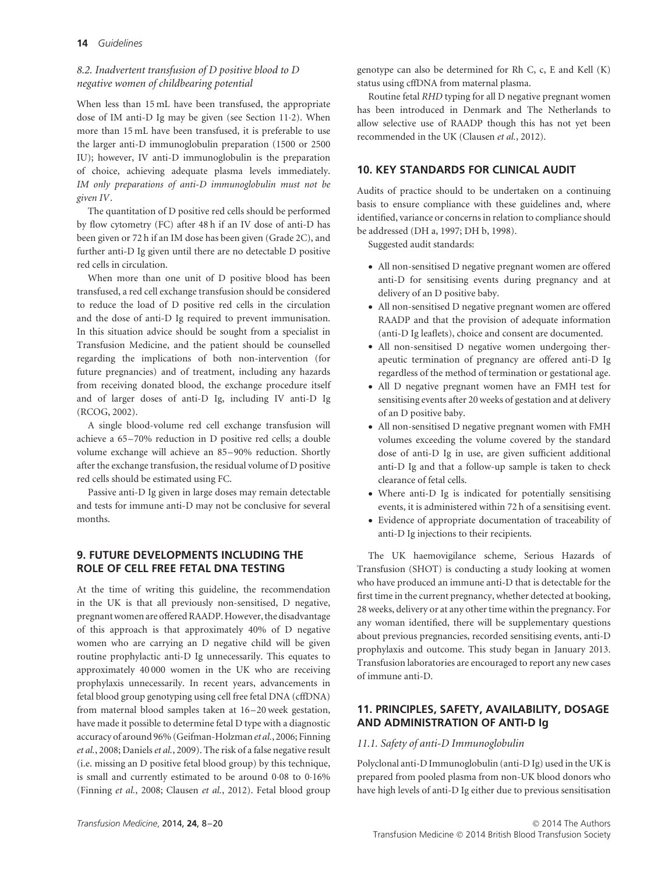# *8.2. Inadvertent transfusion of D positive blood to D negative women of childbearing potential*

When less than 15 mL have been transfused, the appropriate dose of IM anti-D Ig may be given (see Section 11·2). When more than 15 mL have been transfused, it is preferable to use the larger anti-D immunoglobulin preparation (1500 or 2500 IU); however, IV anti-D immunoglobulin is the preparation of choice, achieving adequate plasma levels immediately. *IM only preparations of anti-D immunoglobulin must not be given IV*.

The quantitation of D positive red cells should be performed by flow cytometry (FC) after 48 h if an IV dose of anti-D has been given or 72 h if an IM dose has been given (Grade 2C), and further anti-D Ig given until there are no detectable D positive red cells in circulation.

When more than one unit of D positive blood has been transfused, a red cell exchange transfusion should be considered to reduce the load of D positive red cells in the circulation and the dose of anti-D Ig required to prevent immunisation. In this situation advice should be sought from a specialist in Transfusion Medicine, and the patient should be counselled regarding the implications of both non-intervention (for future pregnancies) and of treatment, including any hazards from receiving donated blood, the exchange procedure itself and of larger doses of anti-D Ig, including IV anti-D Ig (RCOG, 2002).

A single blood-volume red cell exchange transfusion will achieve a 65–70% reduction in D positive red cells; a double volume exchange will achieve an 85–90% reduction. Shortly after the exchange transfusion, the residual volume of D positive red cells should be estimated using FC.

Passive anti-D Ig given in large doses may remain detectable and tests for immune anti-D may not be conclusive for several months.

# **9. FUTURE DEVELOPMENTS INCLUDING THE ROLE OF CELL FREE FETAL DNA TESTING**

At the time of writing this guideline, the recommendation in the UK is that all previously non-sensitised, D negative, pregnant women are offered RAADP. However, the disadvantage of this approach is that approximately 40% of D negative women who are carrying an D negative child will be given routine prophylactic anti-D Ig unnecessarily. This equates to approximately 40 000 women in the UK who are receiving prophylaxis unnecessarily. In recent years, advancements in fetal blood group genotyping using cell free fetal DNA (cffDNA) from maternal blood samples taken at 16–20 week gestation, have made it possible to determine fetal D type with a diagnostic accuracy of around 96% (Geifman-Holzman *et al.*, 2006; Finning *et al.*, 2008; Daniels*et al.*, 2009). The risk of a false negative result (i.e. missing an D positive fetal blood group) by this technique, is small and currently estimated to be around 0·08 to 0·16% (Finning *et al.*, 2008; Clausen *et al.*, 2012). Fetal blood group

genotype can also be determined for Rh C, c, E and Kell (K) status using cffDNA from maternal plasma.

Routine fetal *RHD* typing for all D negative pregnant women has been introduced in Denmark and The Netherlands to allow selective use of RAADP though this has not yet been recommended in the UK (Clausen *et al.*, 2012).

# **10. KEY STANDARDS FOR CLINICAL AUDIT**

Audits of practice should to be undertaken on a continuing basis to ensure compliance with these guidelines and, where identified, variance or concerns in relation to compliance should be addressed (DH a, 1997; DH b, 1998).

Suggested audit standards:

- All non-sensitised D negative pregnant women are offered anti-D for sensitising events during pregnancy and at delivery of an D positive baby.
- All non-sensitised D negative pregnant women are offered RAADP and that the provision of adequate information (anti-D Ig leaflets), choice and consent are documented.
- All non-sensitised D negative women undergoing therapeutic termination of pregnancy are offered anti-D Ig regardless of the method of termination or gestational age.
- All D negative pregnant women have an FMH test for sensitising events after 20 weeks of gestation and at delivery of an D positive baby.
- All non-sensitised D negative pregnant women with FMH volumes exceeding the volume covered by the standard dose of anti-D Ig in use, are given sufficient additional anti-D Ig and that a follow-up sample is taken to check clearance of fetal cells.
- Where anti-D Ig is indicated for potentially sensitising events, it is administered within 72 h of a sensitising event.
- Evidence of appropriate documentation of traceability of anti-D Ig injections to their recipients.

The UK haemovigilance scheme, Serious Hazards of Transfusion (SHOT) is conducting a study looking at women who have produced an immune anti-D that is detectable for the first time in the current pregnancy, whether detected at booking, 28 weeks, delivery or at any other time within the pregnancy. For any woman identified, there will be supplementary questions about previous pregnancies, recorded sensitising events, anti-D prophylaxis and outcome. This study began in January 2013. Transfusion laboratories are encouraged to report any new cases of immune anti-D.

# **11. PRINCIPLES, SAFETY, AVAILABILITY, DOSAGE AND ADMINISTRATION OF ANTI-D Ig**

### *11.1. Safety of anti-D Immunoglobulin*

Polyclonal anti-D Immunoglobulin (anti-D Ig) used in the UK is prepared from pooled plasma from non-UK blood donors who have high levels of anti-D Ig either due to previous sensitisation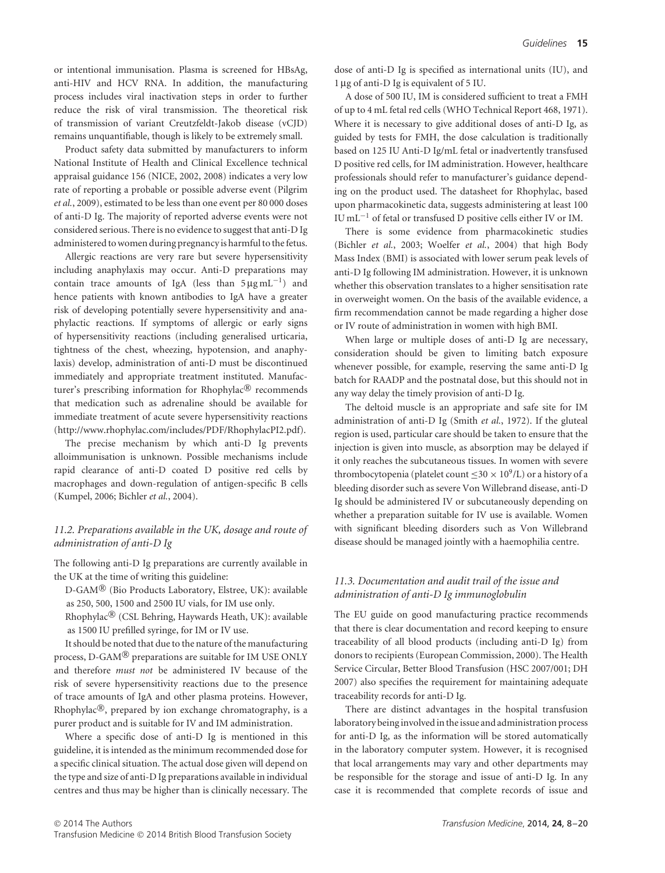or intentional immunisation. Plasma is screened for HBsAg, anti-HIV and HCV RNA. In addition, the manufacturing process includes viral inactivation steps in order to further reduce the risk of viral transmission. The theoretical risk of transmission of variant Creutzfeldt-Jakob disease (vCJD) remains unquantifiable, though is likely to be extremely small.

Product safety data submitted by manufacturers to inform National Institute of Health and Clinical Excellence technical appraisal guidance 156 (NICE, 2002, 2008) indicates a very low rate of reporting a probable or possible adverse event (Pilgrim *et al.*, 2009), estimated to be less than one event per 80 000 doses of anti-D Ig. The majority of reported adverse events were not considered serious. There is no evidence to suggest that anti-D Ig administered to women during pregnancy is harmful to the fetus.

Allergic reactions are very rare but severe hypersensitivity including anaphylaxis may occur. Anti-D preparations may contain trace amounts of IgA (less than  $5 \mu g \text{mL}^{-1}$ ) and hence patients with known antibodies to IgA have a greater risk of developing potentially severe hypersensitivity and anaphylactic reactions. If symptoms of allergic or early signs of hypersensitivity reactions (including generalised urticaria, tightness of the chest, wheezing, hypotension, and anaphylaxis) develop, administration of anti-D must be discontinued immediately and appropriate treatment instituted. Manufacturer's prescribing information for Rhophylac® recommends that medication such as adrenaline should be available for immediate treatment of acute severe hypersensitivity reactions (http://www.rhophylac.com/includes/PDF/RhophylacPI2.pdf).

The precise mechanism by which anti-D Ig prevents alloimmunisation is unknown. Possible mechanisms include rapid clearance of anti-D coated D positive red cells by macrophages and down-regulation of antigen-specific B cells (Kumpel, 2006; Bichler *et al.*, 2004).

# *11.2. Preparations available in the UK, dosage and route of administration of anti-D Ig*

The following anti-D Ig preparations are currently available in the UK at the time of writing this guideline:

D-GAM® (Bio Products Laboratory, Elstree, UK): available as 250, 500, 1500 and 2500 IU vials, for IM use only.

Rhophylac® (CSL Behring, Haywards Heath, UK): available as 1500 IU prefilled syringe, for IM or IV use.

It should be noted that due to the nature of the manufacturing process, D-GAM® preparations are suitable for IM USE ONLY and therefore *must not* be administered IV because of the risk of severe hypersensitivity reactions due to the presence of trace amounts of IgA and other plasma proteins. However, Rhophylac®, prepared by ion exchange chromatography, is a purer product and is suitable for IV and IM administration.

Where a specific dose of anti-D Ig is mentioned in this guideline, it is intended as the minimum recommended dose for a specific clinical situation. The actual dose given will depend on the type and size of anti-D Ig preparations available in individual centres and thus may be higher than is clinically necessary. The dose of anti-D Ig is specified as international units (IU), and 1 μg of anti-D Ig is equivalent of 5 IU.

A dose of 500 IU, IM is considered sufficient to treat a FMH of up to 4 mL fetal red cells (WHO Technical Report 468, 1971). Where it is necessary to give additional doses of anti-D Ig, as guided by tests for FMH, the dose calculation is traditionally based on 125 IU Anti-D Ig/mL fetal or inadvertently transfused D positive red cells, for IM administration. However, healthcare professionals should refer to manufacturer's guidance depending on the product used. The datasheet for Rhophylac, based upon pharmacokinetic data, suggests administering at least 100 IU mL−<sup>1</sup> of fetal or transfused D positive cells either IV or IM.

There is some evidence from pharmacokinetic studies (Bichler *et al.*, 2003; Woelfer *et al.*, 2004) that high Body Mass Index (BMI) is associated with lower serum peak levels of anti-D Ig following IM administration. However, it is unknown whether this observation translates to a higher sensitisation rate in overweight women. On the basis of the available evidence, a firm recommendation cannot be made regarding a higher dose or IV route of administration in women with high BMI.

When large or multiple doses of anti-D Ig are necessary, consideration should be given to limiting batch exposure whenever possible, for example, reserving the same anti-D Ig batch for RAADP and the postnatal dose, but this should not in any way delay the timely provision of anti-D Ig.

The deltoid muscle is an appropriate and safe site for IM administration of anti-D Ig (Smith *et al.*, 1972). If the gluteal region is used, particular care should be taken to ensure that the injection is given into muscle, as absorption may be delayed if it only reaches the subcutaneous tissues. In women with severe thrombocytopenia (platelet count  $\leq 30 \times 10^9$ /L) or a history of a bleeding disorder such as severe Von Willebrand disease, anti-D Ig should be administered IV or subcutaneously depending on whether a preparation suitable for IV use is available. Women with significant bleeding disorders such as Von Willebrand disease should be managed jointly with a haemophilia centre.

# *11.3. Documentation and audit trail of the issue and administration of anti-D Ig immunoglobulin*

The EU guide on good manufacturing practice recommends that there is clear documentation and record keeping to ensure traceability of all blood products (including anti-D Ig) from donors to recipients (European Commission, 2000). The Health Service Circular, Better Blood Transfusion (HSC 2007/001; DH 2007) also specifies the requirement for maintaining adequate traceability records for anti-D Ig.

There are distinct advantages in the hospital transfusion laboratory being involved in the issue and administration process for anti-D Ig, as the information will be stored automatically in the laboratory computer system. However, it is recognised that local arrangements may vary and other departments may be responsible for the storage and issue of anti-D Ig. In any case it is recommended that complete records of issue and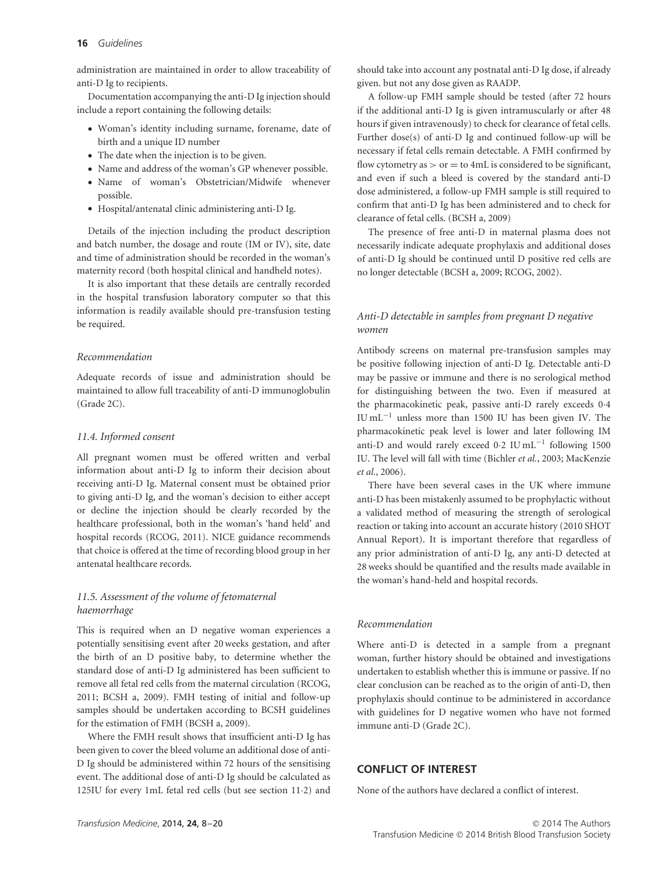administration are maintained in order to allow traceability of anti-D Ig to recipients.

Documentation accompanying the anti-D Ig injection should include a report containing the following details:

- Woman's identity including surname, forename, date of birth and a unique ID number
- The date when the injection is to be given.
- Name and address of the woman's GP whenever possible.
- Name of woman's Obstetrician/Midwife whenever possible.
- Hospital/antenatal clinic administering anti-D Ig.

Details of the injection including the product description and batch number, the dosage and route (IM or IV), site, date and time of administration should be recorded in the woman's maternity record (both hospital clinical and handheld notes).

It is also important that these details are centrally recorded in the hospital transfusion laboratory computer so that this information is readily available should pre-transfusion testing be required.

### *Recommendation*

Adequate records of issue and administration should be maintained to allow full traceability of anti-D immunoglobulin (Grade 2C).

### *11.4. Informed consent*

All pregnant women must be offered written and verbal information about anti-D Ig to inform their decision about receiving anti-D Ig. Maternal consent must be obtained prior to giving anti-D Ig, and the woman's decision to either accept or decline the injection should be clearly recorded by the healthcare professional, both in the woman's 'hand held' and hospital records (RCOG, 2011). NICE guidance recommends that choice is offered at the time of recording blood group in her antenatal healthcare records.

# *11.5. Assessment of the volume of fetomaternal haemorrhage*

This is required when an D negative woman experiences a potentially sensitising event after 20 weeks gestation, and after the birth of an D positive baby, to determine whether the standard dose of anti-D Ig administered has been sufficient to remove all fetal red cells from the maternal circulation (RCOG, 2011; BCSH a, 2009). FMH testing of initial and follow-up samples should be undertaken according to BCSH guidelines for the estimation of FMH (BCSH a, 2009).

Where the FMH result shows that insufficient anti-D Ig has been given to cover the bleed volume an additional dose of anti-D Ig should be administered within 72 hours of the sensitising event. The additional dose of anti-D Ig should be calculated as 125IU for every 1mL fetal red cells (but see section 11·2) and

should take into account any postnatal anti-D Ig dose, if already given. but not any dose given as RAADP.

A follow-up FMH sample should be tested (after 72 hours if the additional anti-D Ig is given intramuscularly or after 48 hours if given intravenously) to check for clearance of fetal cells. Further dose(s) of anti-D Ig and continued follow-up will be necessary if fetal cells remain detectable. A FMH confirmed by flow cytometry as  $>$  or  $=$  to 4mL is considered to be significant, and even if such a bleed is covered by the standard anti-D dose administered, a follow-up FMH sample is still required to confirm that anti-D Ig has been administered and to check for clearance of fetal cells. (BCSH a, 2009)

The presence of free anti-D in maternal plasma does not necessarily indicate adequate prophylaxis and additional doses of anti-D Ig should be continued until D positive red cells are no longer detectable (BCSH a, 2009; RCOG, 2002).

# *Anti-D detectable in samples from pregnant D negative women*

Antibody screens on maternal pre-transfusion samples may be positive following injection of anti-D Ig. Detectable anti-D may be passive or immune and there is no serological method for distinguishing between the two. Even if measured at the pharmacokinetic peak, passive anti-D rarely exceeds 0·4 IU mL−<sup>1</sup> unless more than 1500 IU has been given IV. The pharmacokinetic peak level is lower and later following IM anti-D and would rarely exceed 0.2 IU mL<sup> $-1$ </sup> following 1500 IU. The level will fall with time (Bichler *et al.*, 2003; MacKenzie *et al.*, 2006).

There have been several cases in the UK where immune anti-D has been mistakenly assumed to be prophylactic without a validated method of measuring the strength of serological reaction or taking into account an accurate history (2010 SHOT Annual Report). It is important therefore that regardless of any prior administration of anti-D Ig, any anti-D detected at 28 weeks should be quantified and the results made available in the woman's hand-held and hospital records.

# *Recommendation*

Where anti-D is detected in a sample from a pregnant woman, further history should be obtained and investigations undertaken to establish whether this is immune or passive. If no clear conclusion can be reached as to the origin of anti-D, then prophylaxis should continue to be administered in accordance with guidelines for D negative women who have not formed immune anti-D (Grade 2C).

# **CONFLICT OF INTEREST**

None of the authors have declared a conflict of interest.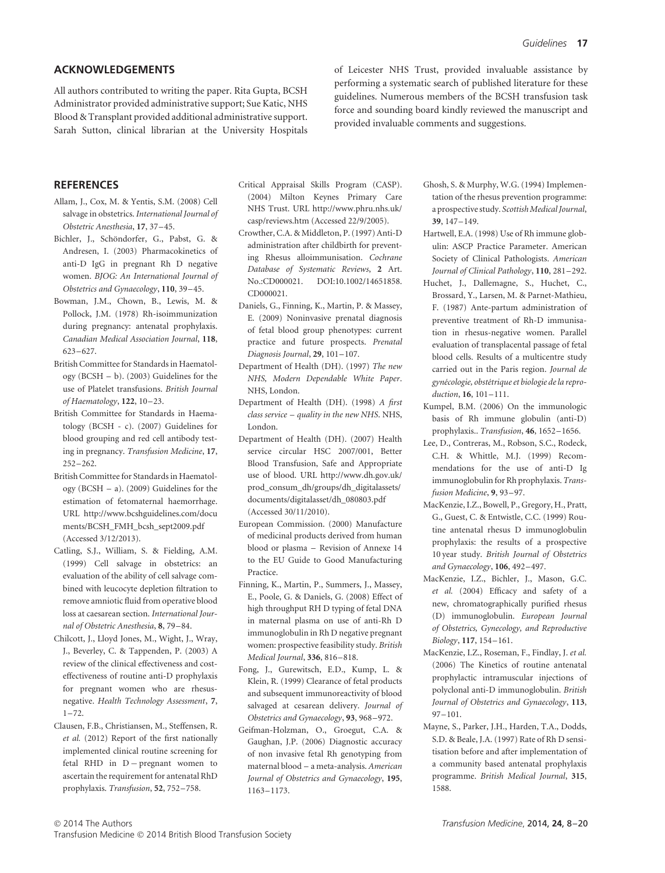### **ACKNOWLEDGEMENTS**

All authors contributed to writing the paper. Rita Gupta, BCSH Administrator provided administrative support; Sue Katic, NHS Blood & Transplant provided additional administrative support. Sarah Sutton, clinical librarian at the University Hospitals of Leicester NHS Trust, provided invaluable assistance by performing a systematic search of published literature for these guidelines. Numerous members of the BCSH transfusion task force and sounding board kindly reviewed the manuscript and provided invaluable comments and suggestions.

### **REFERENCES**

- Allam, J., Cox, M. & Yentis, S.M. (2008) Cell salvage in obstetrics. *International Journal of Obstetric Anesthesia*, **17**, 37–45.
- Bichler, J., Schöndorfer, G., Pabst, G. & Andresen, I. (2003) Pharmacokinetics of anti-D IgG in pregnant Rh D negative women. *BJOG: An International Journal of Obstetrics and Gynaecology*, **110**, 39–45.
- Bowman, J.M., Chown, B., Lewis, M. & Pollock, J.M. (1978) Rh-isoimmunization during pregnancy: antenatal prophylaxis. *Canadian Medical Association Journal*, **118**, 623–627.
- British Committee for Standards in Haematology (BCSH – b). (2003) Guidelines for the use of Platelet transfusions. *British Journal of Haematology*, **122**, 10–23.
- British Committee for Standards in Haematology (BCSH - c). (2007) Guidelines for blood grouping and red cell antibody testing in pregnancy. *Transfusion Medicine*, **17**,  $252 - 262$ .
- British Committee for Standards in Haematology (BCSH – a). (2009) Guidelines for the estimation of fetomaternal haemorrhage. URL http://www.bcshguidelines.com/docu ments/BCSH\_FMH\_bcsh\_sept2009.pdf (Accessed 3/12/2013).
- Catling, S.J., William, S. & Fielding, A.M. (1999) Cell salvage in obstetrics: an evaluation of the ability of cell salvage combined with leucocyte depletion filtration to remove amniotic fluid from operative blood loss at caesarean section. *International Journal of Obstetric Anesthesia*, **8**, 79–84.
- Chilcott, J., Lloyd Jones, M., Wight, J., Wray, J., Beverley, C. & Tappenden, P. (2003) A review of the clinical effectiveness and costeffectiveness of routine anti-D prophylaxis for pregnant women who are rhesusnegative. *Health Technology Assessment*, **7**,  $1 - 72$ .
- Clausen, F.B., Christiansen, M., Steffensen, R. *et al.* (2012) Report of the first nationally implemented clinical routine screening for fetal RHD in D − pregnant women to ascertain the requirement for antenatal RhD prophylaxis. *Transfusion*, **52**, 752–758.
- Critical Appraisal Skills Program (CASP). (2004) Milton Keynes Primary Care NHS Trust. URL http://www.phru.nhs.uk/ casp/reviews.htm (Accessed 22/9/2005).
- Crowther, C.A. & Middleton, P. (1997) Anti-D administration after childbirth for preventing Rhesus alloimmunisation. *Cochrane Database of Systematic Reviews*, **2** Art. No.:CD000021. DOI:10.1002/14651858. CD000021.
- Daniels, G., Finning, K., Martin, P. & Massey, E. (2009) Noninvasive prenatal diagnosis of fetal blood group phenotypes: current practice and future prospects. *Prenatal Diagnosis Journal*, **29**, 101–107.
- Department of Health (DH). (1997) *The new NHS, Modern Dependable White Paper*. NHS, London.
- Department of Health (DH). (1998) *A first class service – quality in the new NHS*. NHS, London.
- Department of Health (DH). (2007) Health service circular HSC 2007/001, Better Blood Transfusion, Safe and Appropriate use of blood. URL http://www.dh.gov.uk/ prod\_consum\_dh/groups/dh\_digitalassets/ documents/digitalasset/dh\_080803.pdf (Accessed 30/11/2010).
- European Commission. (2000) Manufacture of medicinal products derived from human blood or plasma – Revision of Annexe 14 to the EU Guide to Good Manufacturing Practice.
- Finning, K., Martin, P., Summers, J., Massey, E., Poole, G. & Daniels, G. (2008) Effect of high throughput RH D typing of fetal DNA in maternal plasma on use of anti-Rh D immunoglobulin in Rh D negative pregnant women: prospective feasibility study. *British Medical Journal*, **336**, 816–818.
- Fong, J., Gurewitsch, E.D., Kump, L. & Klein, R. (1999) Clearance of fetal products and subsequent immunoreactivity of blood salvaged at cesarean delivery. *Journal of Obstetrics and Gynaecology*, **93**, 968–972.
- Geifman-Holzman, O., Groegut, C.A. & Gaughan, J.P. (2006) Diagnostic accuracy of non invasive fetal Rh genotyping from maternal blood – a meta-analysis. *American Journal of Obstetrics and Gynaecology*, **195**, 1163–1173.
- Ghosh, S. & Murphy, W.G. (1994) Implementation of the rhesus prevention programme: a prospective study. *ScottishMedical Journal*, **39**, 147–149.
- Hartwell, E.A. (1998) Use of Rh immune globulin: ASCP Practice Parameter. American Society of Clinical Pathologists. *American Journal of Clinical Pathology*, **110**, 281–292.
- Huchet, J., Dallemagne, S., Huchet, C., Brossard, Y., Larsen, M. & Parnet-Mathieu, F. (1987) Ante-partum administration of preventive treatment of Rh-D immunisation in rhesus-negative women. Parallel evaluation of transplacental passage of fetal blood cells. Results of a multicentre study carried out in the Paris region. *Journal de gyn´ecologie, obst´etrique et biologie de la reproduction*, **16**, 101–111.
- Kumpel, B.M. (2006) On the immunologic basis of Rh immune globulin (anti-D) prophylaxis.. *Transfusion*, **46**, 1652–1656.
- Lee, D., Contreras, M., Robson, S.C., Rodeck, C.H. & Whittle, M.J. (1999) Recommendations for the use of anti-D Ig immunoglobulin for Rh prophylaxis. *Transfusion Medicine*, **9**, 93–97.
- MacKenzie, I.Z., Bowell, P., Gregory, H., Pratt, G., Guest, C. & Entwistle, C.C. (1999) Routine antenatal rhesus D immunoglobulin prophylaxis: the results of a prospective 10 year study. *British Journal of Obstetrics and Gynaecology*, **106**, 492–497.
- MacKenzie, I.Z., Bichler, J., Mason, G.C. *et al.* (2004) Efficacy and safety of a new, chromatographically purified rhesus (D) immunoglobulin. *European Journal of Obstetrics, Gynecology, and Reproductive Biology*, **117**, 154–161.
- MacKenzie, I.Z., Roseman, F., Findlay, J. *et al.* (2006) The Kinetics of routine antenatal prophylactic intramuscular injections of polyclonal anti-D immunoglobulin. *British Journal of Obstetrics and Gynaecology*, **113**, 97–101.
- Mayne, S., Parker, J.H., Harden, T.A., Dodds, S.D. & Beale, J.A. (1997) Rate of Rh D sensitisation before and after implementation of a community based antenatal prophylaxis programme. *British Medical Journal*, **315**, 1588.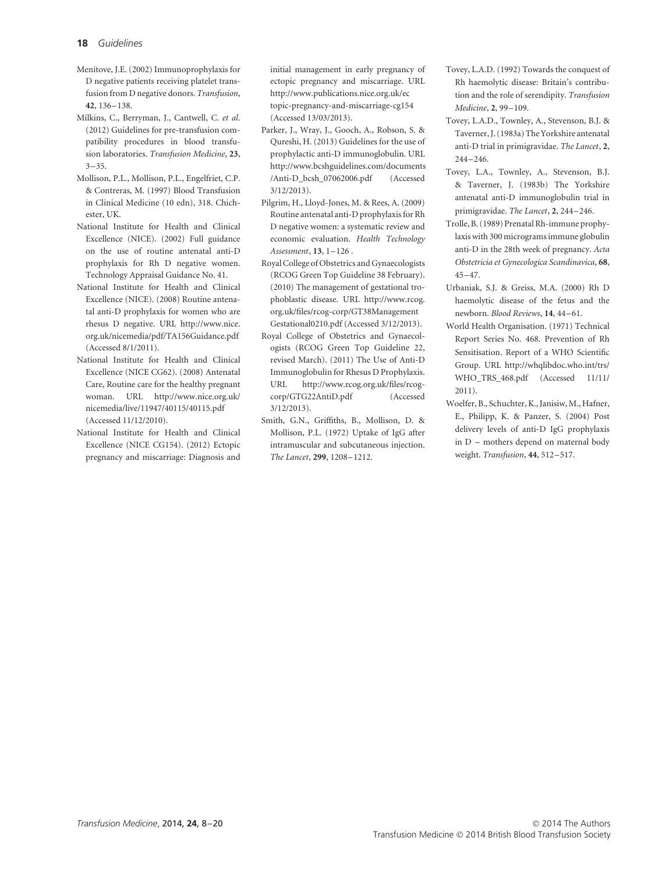- Menitove, J.E. (2002) Immunoprophylaxis for D negative patients receiving platelet transfusion from D negative donors. *Transfusion*, **42**, 136–138.
- Milkins, C., Berryman, J., Cantwell, C. *et al*. (2012) Guidelines for pre-transfusion compatibility procedures in blood transfusion laboratories. *Transfusion Medicine*, **23**,  $3 - 35$
- Mollison, P.L., Mollison, P.L., Engelfriet, C.P. & Contreras, M. (1997) Blood Transfusion in Clinical Medicine (10 edn), 318. Chichester, UK.
- National Institute for Health and Clinical Excellence (NICE). (2002) Full guidance on the use of routine antenatal anti-D prophylaxis for Rh D negative women. Technology Appraisal Guidance No. 41.
- National Institute for Health and Clinical Excellence (NICE). (2008) Routine antenatal anti-D prophylaxis for women who are rhesus D negative. URL http://www.nice. org.uk/nicemedia/pdf/TA156Guidance.pdf (Accessed 8/1/2011).
- National Institute for Health and Clinical Excellence (NICE CG62). (2008) Antenatal Care, Routine care for the healthy pregnant woman. URL http://www.nice.org.uk/ nicemedia/live/11947/40115/40115.pdf (Accessed 11/12/2010).
- National Institute for Health and Clinical Excellence (NICE CG154). (2012) Ectopic pregnancy and miscarriage: Diagnosis and

initial management in early pregnancy of ectopic pregnancy and miscarriage. URL http://www.publications.nice.org.uk/ec topic-pregnancy-and-miscarriage-cg154 (Accessed 13/03/2013).

- Parker, J., Wray, J., Gooch, A., Robson, S. & Qureshi, H. (2013) Guidelines for the use of prophylactic anti-D immunoglobulin. URL http://www.bcshguidelines.com/documents /Anti-D\_bcsh\_07062006.pdf (Accessed 3/12/2013).
- Pilgrim, H., Lloyd-Jones, M. & Rees, A. (2009) Routine antenatal anti-D prophylaxis for Rh D negative women: a systematic review and economic evaluation. *Health Technology Assessment*, **13**, 1–126 .
- Royal College of Obstetrics and Gynaecologists (RCOG Green Top Guideline 38 February). (2010) The management of gestational trophoblastic disease. URL http://www.rcog. org.uk/files/rcog-corp/GT38Management Gestational0210.pdf (Accessed 3/12/2013).
- Royal College of Obstetrics and Gynaecologists (RCOG Green Top Guideline 22, revised March). (2011) The Use of Anti-D Immunoglobulin for Rhesus D Prophylaxis. URL http://www.rcog.org.uk/files/rcogcorp/GTG22AntiD.pdf (Accessed 3/12/2013).
- Smith, G.N., Griffiths, B., Mollison, D. & Mollison, P.L. (1972) Uptake of IgG after intramuscular and subcutaneous injection. *The Lancet*, **299**, 1208–1212.
- Tovey, L.A.D. (1992) Towards the conquest of Rh haemolytic disease: Britain's contribution and the role of serendipity. *Transfusion Medicine*, **2**, 99–109.
- Tovey, L.A.D., Townley, A., Stevenson, B.J. & Taverner, J. (1983a) The Yorkshire antenatal anti-D trial in primigravidae. *The Lancet*, **2**, 244–246.
- Tovey, L.A., Townley, A., Stevenson, B.J. & Taverner, J. (1983b) The Yorkshire antenatal anti-D immunoglobulin trial in primigravidae. *The Lancet*, **2**, 244–246.
- Trolle, B. (1989) Prenatal Rh-immune prophylaxis with 300 micrograms immune globulin anti-D in the 28th week of pregnancy. *Acta Obstetricia et Gynecologica Scandinavica*, **68**, 45–47.
- Urbaniak, S.J. & Greiss, M.A. (2000) Rh D haemolytic disease of the fetus and the newborn. *Blood Reviews*, **14**, 44–61.
- World Health Organisation. (1971) Technical Report Series No. 468. Prevention of Rh Sensitisation. Report of a WHO Scientific Group. URL http://whqlibdoc.who.int/trs/ WHO\_TRS\_468.pdf (Accessed 11/11/ 2011).
- Woelfer, B., Schuchter, K., Janisiw, M., Hafner, E., Philipp, K. & Panzer, S. (2004) Post delivery levels of anti-D IgG prophylaxis in D – mothers depend on maternal body weight. *Transfusion*, **44**, 512–517.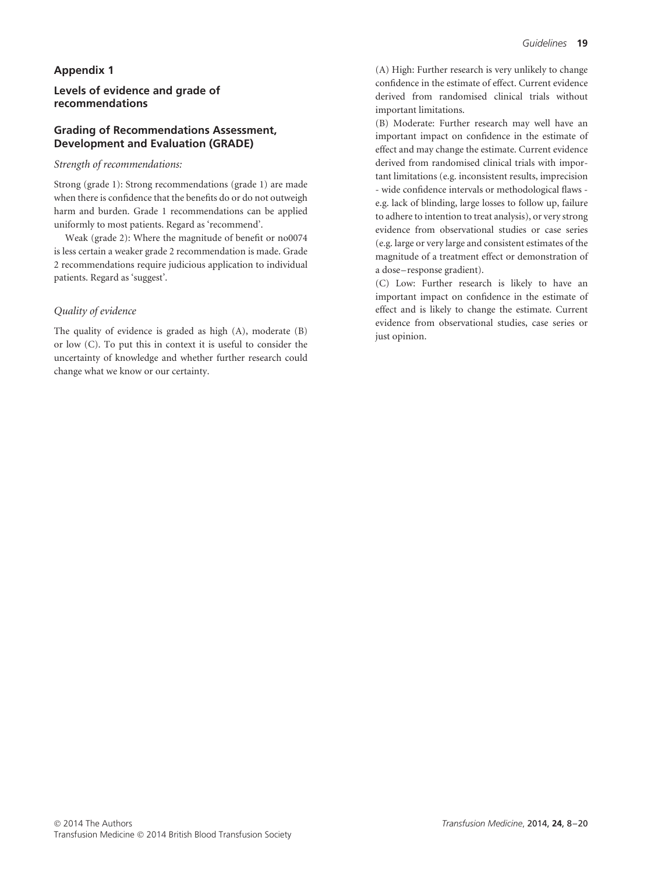### *Guidelines* **19**

### **Appendix 1**

# **Levels of evidence and grade of recommendations**

# **Grading of Recommendations Assessment, Development and Evaluation (GRADE)**

### *Strength of recommendations:*

Strong (grade 1): Strong recommendations (grade 1) are made when there is confidence that the benefits do or do not outweigh harm and burden. Grade 1 recommendations can be applied uniformly to most patients. Regard as 'recommend'.

Weak (grade 2): Where the magnitude of benefit or no0074 is less certain a weaker grade 2 recommendation is made. Grade 2 recommendations require judicious application to individual patients. Regard as 'suggest'.

### *Quality of evidence*

The quality of evidence is graded as high (A), moderate (B) or low (C). To put this in context it is useful to consider the uncertainty of knowledge and whether further research could change what we know or our certainty.

(A) High: Further research is very unlikely to change confidence in the estimate of effect. Current evidence derived from randomised clinical trials without important limitations.

(B) Moderate: Further research may well have an important impact on confidence in the estimate of effect and may change the estimate. Current evidence derived from randomised clinical trials with important limitations (e.g. inconsistent results, imprecision - wide confidence intervals or methodological flaws e.g. lack of blinding, large losses to follow up, failure to adhere to intention to treat analysis), or very strong evidence from observational studies or case series (e.g. large or very large and consistent estimates of the magnitude of a treatment effect or demonstration of a dose–response gradient).

(C) Low: Further research is likely to have an important impact on confidence in the estimate of effect and is likely to change the estimate. Current evidence from observational studies, case series or just opinion.